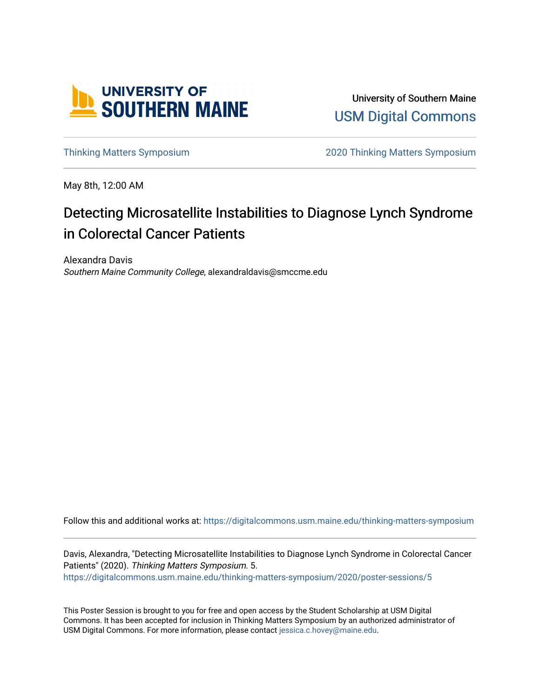

University of Southern Maine [USM Digital Commons](https://digitalcommons.usm.maine.edu/) 

[Thinking Matters Symposium](https://digitalcommons.usm.maine.edu/thinking-matters-symposium) [2020 Thinking Matters Symposium](https://digitalcommons.usm.maine.edu/thinking-matters-symposium/2020) 

May 8th, 12:00 AM

#### Detecting Microsatellite Instabilities to Diagnose Lynch Syndrome in Colorectal Cancer Patients

Alexandra Davis Southern Maine Community College, alexandraldavis@smccme.edu

Follow this and additional works at: [https://digitalcommons.usm.maine.edu/thinking-matters-symposium](https://digitalcommons.usm.maine.edu/thinking-matters-symposium?utm_source=digitalcommons.usm.maine.edu%2Fthinking-matters-symposium%2F2020%2Fposter-sessions%2F5&utm_medium=PDF&utm_campaign=PDFCoverPages) 

Davis, Alexandra, "Detecting Microsatellite Instabilities to Diagnose Lynch Syndrome in Colorectal Cancer Patients" (2020). Thinking Matters Symposium. 5. [https://digitalcommons.usm.maine.edu/thinking-matters-symposium/2020/poster-sessions/5](https://digitalcommons.usm.maine.edu/thinking-matters-symposium/2020/poster-sessions/5?utm_source=digitalcommons.usm.maine.edu%2Fthinking-matters-symposium%2F2020%2Fposter-sessions%2F5&utm_medium=PDF&utm_campaign=PDFCoverPages) 

This Poster Session is brought to you for free and open access by the Student Scholarship at USM Digital Commons. It has been accepted for inclusion in Thinking Matters Symposium by an authorized administrator of USM Digital Commons. For more information, please contact [jessica.c.hovey@maine.edu](mailto:ian.fowler@maine.edu).